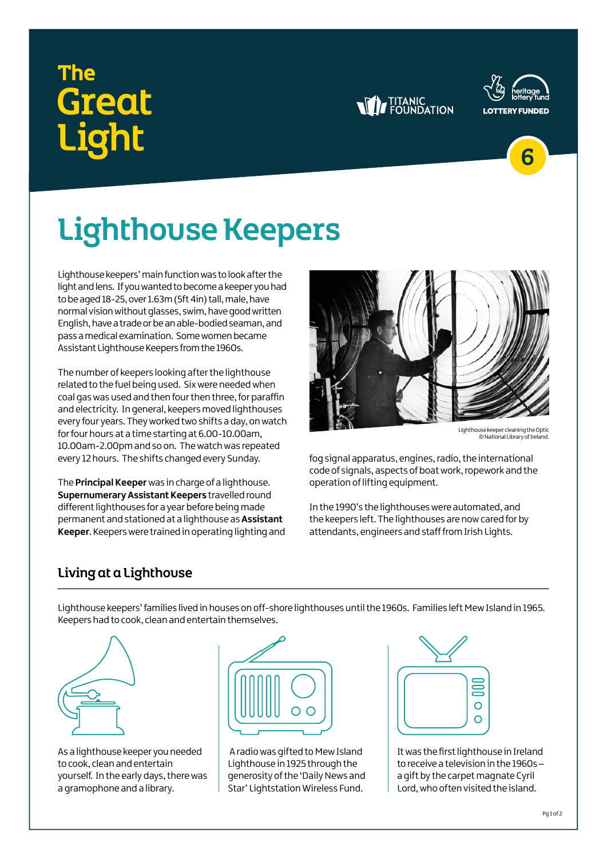# Great iohr





6

## Lighthouse Keepers

Lighthouse keepers' main function was to look after the light and lens. If you wanted to become a keeper you had to be aged 18-25, over 1.63m (5ft 4in) tall, male, have normal vision without glasses, swim, have good written English, have a trade or be an able-bodied seaman, and pass a medical examination. Some women became Assistant Lighthouse Keepers from the 1960s.

The number of keepers looking after the lighthouse related to the fuel being used. Six were needed when coal gas was used and then four then three, for paraffin and electricity. In general, keepers moved lighthouses every four years. They worked two shifts a day, on watch for four hours at a time starting at 6.00-10.00am, 10.00am-2.00pm and so on. The watch was repeated every 12 hours. The shifts changed every Sunday.

The **Principal Keeper** was in charge of a lighthouse. **Supernumerary Assistant Keepers travelled round** different lighthouses for a year before being made permanent and stationed at a lighthouse as **Assistant Keeper**. Keepers were trained in operating lighting and



© National Library of Ireland.

fog signal apparatus, engines, radio, the international code of signals, aspects of boat work, ropework and the operation of lifting equipment.

In the 1990's the lighthouses were automated, and the keepers left. The lighthouses are now cared for by attendants, engineers and staff from Irish Lights.

### Living at a Lighthouse

Lighthouse keepers' families lived in houses on off-shore lighthouses until the 1960s. Families left Mew Island in 1965. Keepers had to cook, clean and entertain themselves.



As a lighthouse keeper you needed to cook, clean and entertain yourself. In the early days, there was a gramophone and a library.



 A radio was gifted to Mew Island Lighthouse in 1925 through the generosity of the 'Daily News and Star' Lightstation Wireless Fund.



It was the first lighthouse in Ireland to receive a television in the 1960s – a gift by the carpet magnate Cyril Lord, who often visited the island.